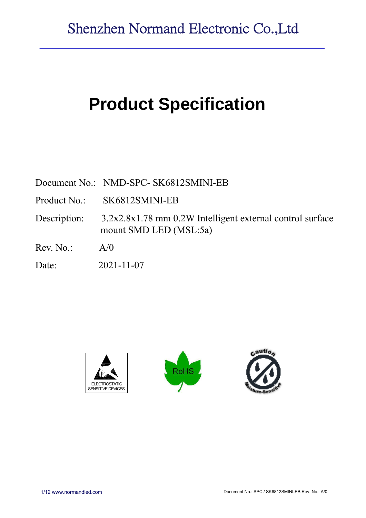# **Product Specification**

|              | Document No.: NMD-SPC- SK6812SMINI-EB                                               |
|--------------|-------------------------------------------------------------------------------------|
|              | Product No.: SK6812SMINI-EB                                                         |
| Description: | 3.2x2.8x1.78 mm 0.2W Intelligent external control surface<br>mount SMD LED (MSL:5a) |
| Rev. No.     | A/0                                                                                 |
| Date:        | $2021 - 11 - 07$                                                                    |





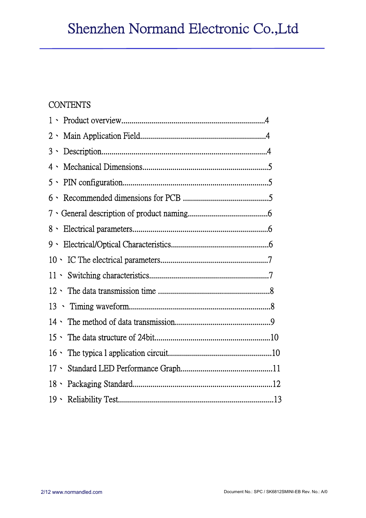# **CONTENTS**

| $4 \cdot$ |  |
|-----------|--|
|           |  |
|           |  |
|           |  |
|           |  |
|           |  |
|           |  |
|           |  |
|           |  |
|           |  |
|           |  |
|           |  |
|           |  |
|           |  |
|           |  |
|           |  |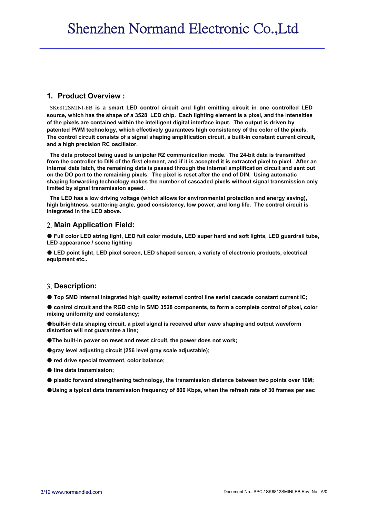#### **1. Product Overview :**

SK6812SMINI-EB **is a smart LED control circuit and light emitting circuit in one controlled LED source, which has the shape of a 3528 LED chip. Each lighting element is a pixel, and the intensities of the pixels are contained within the intelligent digital interface input. The output is driven by patented PWM technology, which effectively guarantees high consistency of the color of the pixels. The control circuit consists of a signal shaping amplification circuit, a built-in constant current circuit, and a high precision RC oscillator.**

**The data protocol being used is unipolar RZ communication mode. The 24-bit data is transmitted from the controller to DIN of the first element, and if it is accepted it is extracted pixel to pixel. After an internal data latch, the remaining data is passed through the internal amplification circuit and sent out on the DO port to the remaining pixels. The pixel is reset after the end of DIN. Using automatic shaping forwarding technology makes the number of cascaded pixels without signal transmission only limited by signal transmission speed.**

**The LED has a low driving voltage (which allows for environmental protection and energy saving), high brightness, scattering angle, good consistency, low power, and long life. The control circuit is integrated in the LED above.**

#### 2. **Main Application Field:**

● **Full color LED string light, LED full color module, LED super hard and soft lights, LED guardrail tube, LED appearance / scene lighting**

● **LED point light, LED pixel screen, LED shaped screen, a variety of electronic products, electrical equipment etc..**

#### 3. **Description:**

● **Top SMD internal integrated high quality external control line serial cascade constant current IC;** 

● control circuit and the RGB chip in SMD 3528 components, to form a complete control of pixel, color **mixing uniformity and consistency;**

●**built-in data shaping circuit, a pixel signal is received after wave shaping and output waveform distortion will not guarantee a line;**

●**The built-in power on reset and reset circuit, the power does not work;**

●**gray level adjusting circuit (256 level gray scale adjustable);**

● **red drive special treatment, color balance;**

- **line data transmission;**
- **plastic forward strengthening technology, the transmission distance between two points over 10M;**
- ●**Using a typical data transmission frequency of 800 Kbps, when the refresh rate of 30 frames per sec**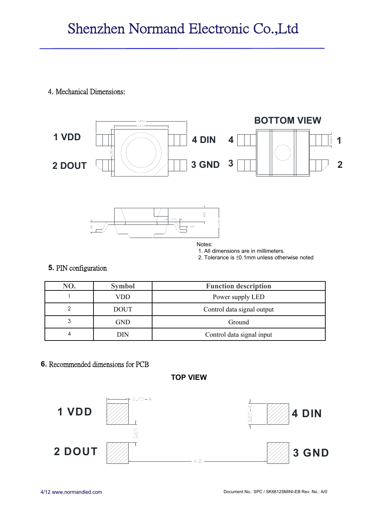4. Mechanical Dimensions:



### **5.** PIN configuration

| NO. | <b>Symbol</b> | <b>Function description</b> |
|-----|---------------|-----------------------------|
|     | VDD           | Power supply LED            |
|     | <b>DOUT</b>   | Control data signal output  |
| 3   | <b>GND</b>    | Ground                      |
|     | DIN           | Control data signal input   |

# **6.** Recommended dimensions for PCB

**TOP VIEW**

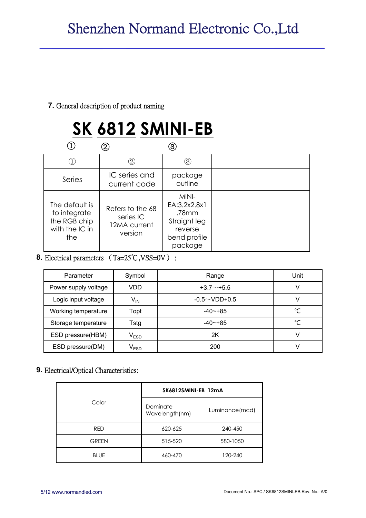### **7.** General description of product naming

# **SK 6812 SMINI-EB**

|                                                                         |                                                          | 3)                                                                                   |  |
|-------------------------------------------------------------------------|----------------------------------------------------------|--------------------------------------------------------------------------------------|--|
|                                                                         | (2                                                       | (3)                                                                                  |  |
| Series                                                                  | IC series and<br>current code                            | package<br>outline                                                                   |  |
| The default is<br>to integrate<br>the RGB chip<br>with the IC in<br>the | Refers to the 68<br>series IC<br>12MA current<br>version | MINI-<br>EA:3.2x2.8x1<br>.78mm<br>Straight leg<br>reverse<br>bend profile<br>package |  |

8. Electrical parameters (Ta=25℃,VSS=0V):

| Parameter            | Symbol                      | Range               | Unit |
|----------------------|-----------------------------|---------------------|------|
| Power supply voltage | VDD                         | $+3.7+5.5$          |      |
| Logic input voltage  | $V_{IN}$                    | $-0.5 \sim$ VDD+0.5 |      |
| Working temperature  | Topt                        | $-40$ $-+85$        | °C   |
| Storage temperature  | Tstg                        | $-40$ $-+85$        | °C   |
| ESD pressure(HBM)    | $\mathsf{V}_{\mathsf{ESD}}$ | 2K                  |      |
| ESD pressure(DM)     | $\mathsf{V}_{\mathsf{ESD}}$ | 200                 |      |

# **9.** Electrical/Optical Characteristics:

|              | SK6812SMINI-EB 12mA        |                |  |  |
|--------------|----------------------------|----------------|--|--|
| Color        | Dominate<br>Wavelength(nm) | Luminance(mcd) |  |  |
| <b>RED</b>   | 620-625                    | 240-450        |  |  |
| <b>GREEN</b> | 515-520                    | 580-1050       |  |  |
| <b>BLUE</b>  | 460-470                    | 120-240        |  |  |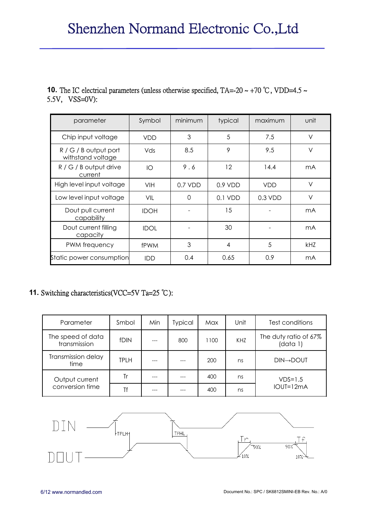### **10.** The IC electrical parameters (unless otherwise specified, TA=-20 ~ +70 °C, VDD=4.5 ~ 5.5V, VSS=0V):

| parameter                                    | Symbol      | minimum   | typical   | maximum    | unit           |
|----------------------------------------------|-------------|-----------|-----------|------------|----------------|
| Chip input voltage                           | <b>VDD</b>  | 3         | 5         | 7.5        | $\vee$         |
| $R / G / B$ output port<br>withstand voltage | Vds         | 8.5       | 9         | 9.5        | $\vee$         |
| $R / G / B$ output drive<br>current          | IO          | 9.6       | 12        | 14.4       | m <sub>A</sub> |
| High level input voltage                     | VIH         | $0.7$ VDD | $0.9$ VDD | <b>VDD</b> | $\vee$         |
| Low level input voltage                      | VIL         | 0         | $0.1$ VDD | $0.3$ VDD  | V              |
| Dout pull current<br>capability              | <b>IDOH</b> |           | 15        |            | mA             |
| Dout current filling<br>capacity             | <b>IDOL</b> |           | 30        |            | m <sub>A</sub> |
| PWM frequency                                | <b>fPWM</b> | 3         | 4         | 5          | <b>kHZ</b>     |
| Static power consumption                     | IDD         | 0.4       | 0.65      | 0.9        | mA             |

# **11.** Switching characteristics(VCC=5V Ta=25 ℃):

| Parameter                         | Smbol       | Min | <b>Typical</b> | Max  | Unit | Test conditions                   |
|-----------------------------------|-------------|-----|----------------|------|------|-----------------------------------|
| The speed of data<br>transmission | <b>fDIN</b> |     | 800            | 1100 | KHZ  | The duty ratio of 67%<br>(data 1) |
| Transmission delay<br>time        | <b>TPLH</b> |     |                | 200  | ns   | <b>DIN→DOUT</b>                   |
| Output current                    | Tr          |     |                | 400  | ns   | $VDS=1.5$                         |
| conversion time                   | Τf          |     |                | 400  | ns   | IOUT=12mA                         |

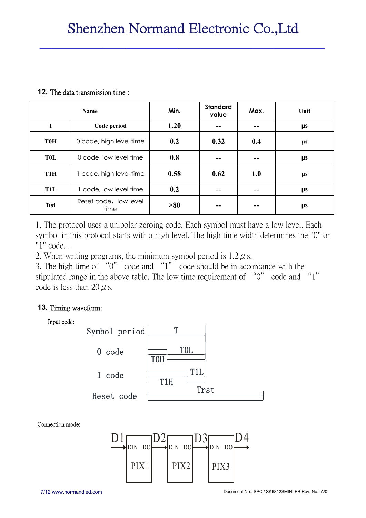#### **12.** The data transmission time :

|                  | <b>Name</b>                   | Min. | <b>Standard</b><br>value | Max. | Unit    |
|------------------|-------------------------------|------|--------------------------|------|---------|
| T                | Code period                   | 1.20 | --                       |      | μs      |
| <b>T0H</b>       | 0 code, high level time       | 0.2  | 0.32                     | 0.4  | $\mu$ s |
| <b>TOL</b>       | 0 code, low level time        | 0.8  | --                       |      | μs      |
| T <sub>1</sub> H | 1 code, high level time       | 0.58 | 0.62                     | 1.0  | $\mu$ s |
| T1L              | 1 code, low level time        | 0.2  | --                       |      | μs      |
| <b>Trst</b>      | Reset code, low level<br>time | >80  | --                       |      | μs      |

1. The protocol uses a unipolar zeroing code. Each symbol must have a low level. Each symbol in this protocol starts with a high level. The high time width determines the "0" or "1" code. .

2. When writing programs, the minimum symbol period is  $1.2 \mu$  s.

3. The high time of "0" code and "1" code should be in accordance with the stipulated range in the above table. The low time requirement of "0" code and "1" code is less than 20  $\mu$  s.

# **13.** Timing waveform:



Connection mode:

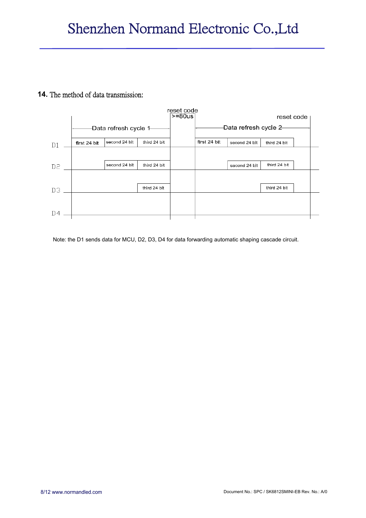#### **14.** The method of data transmission:



Note: the D1 sends data for MCU, D2, D3, D4 for data forwarding automatic shaping cascade circuit.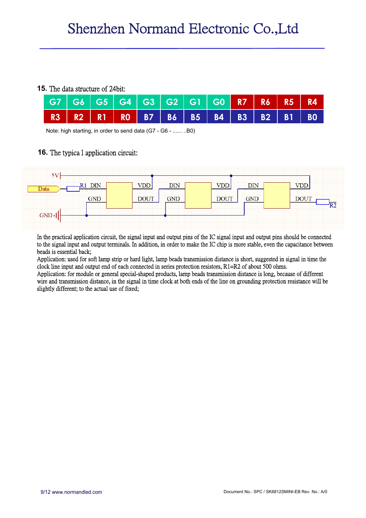#### **15.** The data structure of 24bit:

|  | │ G7 │ G6 │ G5 │ G4 │ G3 │ G2 │ G1 │ G0 │ R7 │ R6 │ R5 │ R4 <sub>│</sub> |  |  |  |  |  |
|--|--------------------------------------------------------------------------|--|--|--|--|--|
|  | R3   R2   R1   R0   B7   B6   B5   B4   B3   B2   B1   B0                |  |  |  |  |  |

Note: high starting, in order to send data (G7 - G6 - ...... ..B0)

## **16.** The typica l application circuit:



In the practical application circuit, the signal input and output pins of the IC signal input and output pins should be connected to the signal input and output terminals. In addition, in order to make the IC chip is more stable, even the capacitance between beads is essential back;

Application: used for soft lamp strip or hard light, lamp beads transmission distance is short, suggested in signal in time the clock line input and output end of each connected in series protection resistors, R1=R2 of about 500 ohms.

Application: for module or general special-shaped products, lamp beads transmission distance is long, because of different wire and transmission distance, in the signal in time clock at both ends of the line on grounding protection resistance will be slightly different; to the actual use of fixed;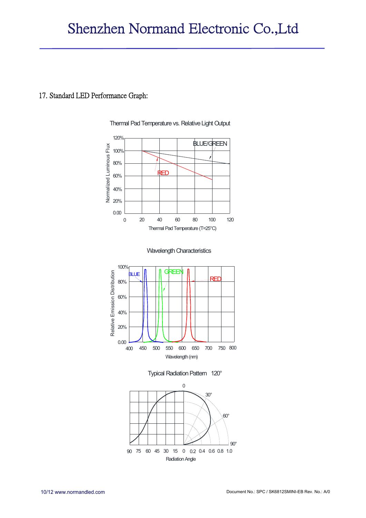#### 17. Standard LED Performance Graph:



Thermal Pad Temperature vs. Relative Light Output







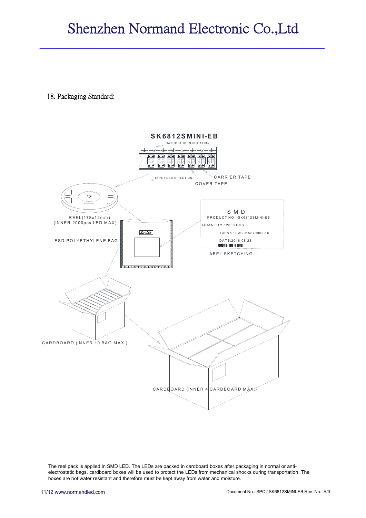18. Packaging Standard:



The reel pack is applied in SMD LED. The LEDs are packed in cardboard boxes after packaging in normal or antielectrostatic bags. cardboard boxes will be used to protect the LEDs from mechanical shocks during transportation. The boxes are not water resistant and therefore must be kept away from water and moisture.